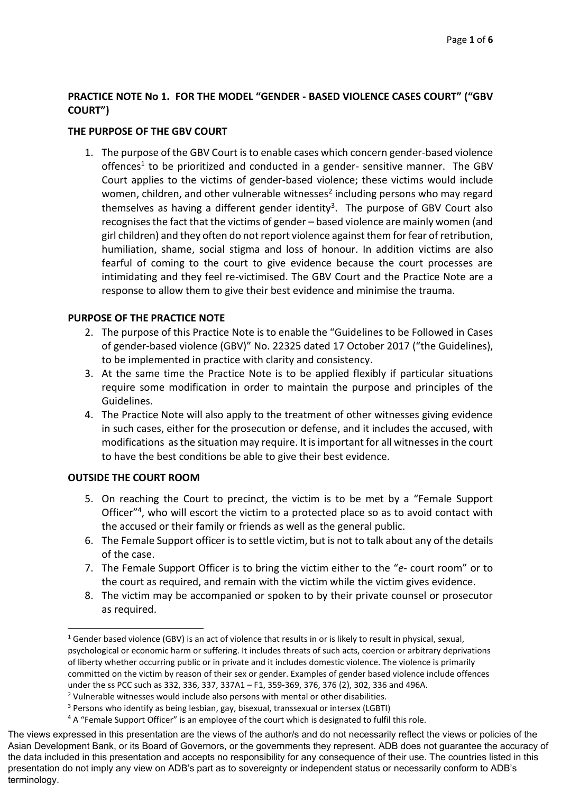# **PRACTICE NOTE No 1. FOR THE MODEL "GENDER - BASED VIOLENCE CASES COURT" ("GBV COURT")**

# **THE PURPOSE OF THE GBV COURT**

1. The purpose of the GBV Court is to enable cases which concern gender-based violence offences<sup>1</sup> to be prioritized and conducted in a gender- sensitive manner. The GBV Court applies to the victims of gender-based violence; these victims would include women, children, and other vulnerable witnesses<sup>2</sup> including persons who may regard themselves as having a different gender identity<sup>3</sup>. The purpose of GBV Court also recognises the fact that the victims of gender – based violence are mainly women (and girl children) and they often do not report violence against them for fear of retribution, humiliation, shame, social stigma and loss of honour. In addition victims are also fearful of coming to the court to give evidence because the court processes are intimidating and they feel re-victimised. The GBV Court and the Practice Note are a response to allow them to give their best evidence and minimise the trauma.

# **PURPOSE OF THE PRACTICE NOTE**

- 2. The purpose of this Practice Note is to enable the "Guidelines to be Followed in Cases of gender-based violence (GBV)" No. 22325 dated 17 October 2017 ("the Guidelines), to be implemented in practice with clarity and consistency.
- 3. At the same time the Practice Note is to be applied flexibly if particular situations require some modification in order to maintain the purpose and principles of the Guidelines.
- 4. The Practice Note will also apply to the treatment of other witnesses giving evidence in such cases, either for the prosecution or defense, and it includes the accused, with modifications as the situation may require. It is important for all witnesses in the court to have the best conditions be able to give their best evidence.

# **OUTSIDE THE COURT ROOM**

1

- 5. On reaching the Court to precinct, the victim is to be met by a "Female Support Officer"<sup>4</sup>, who will escort the victim to a protected place so as to avoid contact with the accused or their family or friends as well as the general public.
- 6. The Female Support officer is to settle victim, but is not to talk about any of the details of the case.
- 7. The Female Support Officer is to bring the victim either to the "*e-* court room" or to the court as required, and remain with the victim while the victim gives evidence.
- 8. The victim may be accompanied or spoken to by their private counsel or prosecutor as required.

<sup>&</sup>lt;sup>1</sup> Gender based violence (GBV) is an act of violence that results in or is likely to result in physical, sexual, psychological or economic harm or suffering. It includes threats of such acts, coercion or arbitrary deprivations of liberty whether occurring public or in private and it includes domestic violence. The violence is primarily committed on the victim by reason of their sex or gender. Examples of gender based violence include offences under the ss PCC such as 332, 336, 337, 337A1 – F1, 359-369, 376, 376 (2), 302, 336 and 496A.

<sup>2</sup> Vulnerable witnesses would include also persons with mental or other disabilities.

<sup>3</sup> Persons who identify as being lesbian, gay, bisexual, transsexual or intersex (LGBTI)

<sup>4</sup> A "Female Support Officer" is an employee of the court which is designated to fulfil this role.

The views expressed in this presentation are the views of the author/s and do not necessarily reflect the views or policies of the Asian Development Bank, or its Board of Governors, or the governments they represent. ADB does not guarantee the accuracy of the data included in this presentation and accepts no responsibility for any consequence of their use. The countries listed in this presentation do not imply any view on ADB's part as to sovereignty or independent status or necessarily conform to ADB's terminology.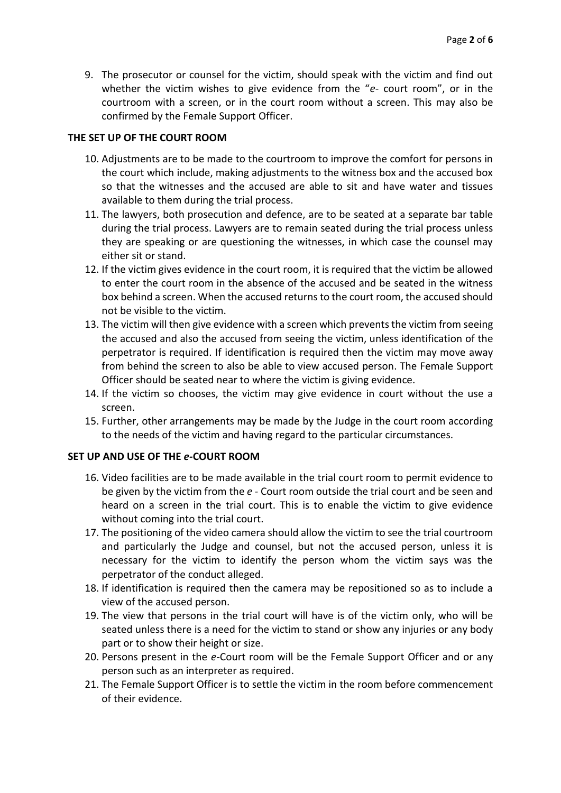9. The prosecutor or counsel for the victim, should speak with the victim and find out whether the victim wishes to give evidence from the "*e-* court room", or in the courtroom with a screen, or in the court room without a screen. This may also be confirmed by the Female Support Officer.

# **THE SET UP OF THE COURT ROOM**

- 10. Adjustments are to be made to the courtroom to improve the comfort for persons in the court which include, making adjustments to the witness box and the accused box so that the witnesses and the accused are able to sit and have water and tissues available to them during the trial process.
- 11. The lawyers, both prosecution and defence, are to be seated at a separate bar table during the trial process. Lawyers are to remain seated during the trial process unless they are speaking or are questioning the witnesses, in which case the counsel may either sit or stand.
- 12. If the victim gives evidence in the court room, it is required that the victim be allowed to enter the court room in the absence of the accused and be seated in the witness box behind a screen. When the accused returns to the court room, the accused should not be visible to the victim.
- 13. The victim will then give evidence with a screen which prevents the victim from seeing the accused and also the accused from seeing the victim, unless identification of the perpetrator is required. If identification is required then the victim may move away from behind the screen to also be able to view accused person. The Female Support Officer should be seated near to where the victim is giving evidence.
- 14. If the victim so chooses, the victim may give evidence in court without the use a screen.
- 15. Further, other arrangements may be made by the Judge in the court room according to the needs of the victim and having regard to the particular circumstances.

#### **SET UP AND USE OF THE** *e-***COURT ROOM**

- 16. Video facilities are to be made available in the trial court room to permit evidence to be given by the victim from the *e -* Court room outside the trial court and be seen and heard on a screen in the trial court. This is to enable the victim to give evidence without coming into the trial court.
- 17. The positioning of the video camera should allow the victim to see the trial courtroom and particularly the Judge and counsel, but not the accused person, unless it is necessary for the victim to identify the person whom the victim says was the perpetrator of the conduct alleged.
- 18. If identification is required then the camera may be repositioned so as to include a view of the accused person.
- 19. The view that persons in the trial court will have is of the victim only, who will be seated unless there is a need for the victim to stand or show any injuries or any body part or to show their height or size.
- 20. Persons present in the *e-*Court room will be the Female Support Officer and or any person such as an interpreter as required.
- 21. The Female Support Officer is to settle the victim in the room before commencement of their evidence.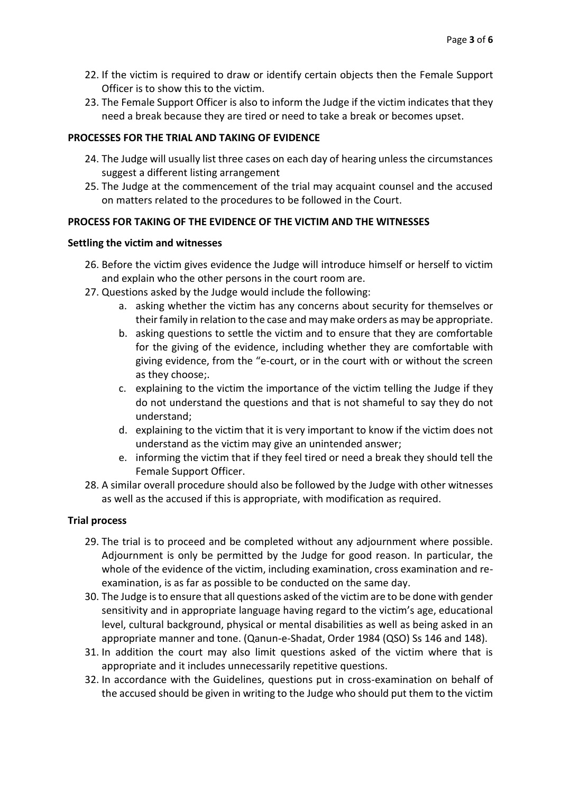- 22. If the victim is required to draw or identify certain objects then the Female Support Officer is to show this to the victim.
- 23. The Female Support Officer is also to inform the Judge if the victim indicates that they need a break because they are tired or need to take a break or becomes upset.

#### **PROCESSES FOR THE TRIAL AND TAKING OF EVIDENCE**

- 24. The Judge will usually list three cases on each day of hearing unless the circumstances suggest a different listing arrangement
- 25. The Judge at the commencement of the trial may acquaint counsel and the accused on matters related to the procedures to be followed in the Court.

# **PROCESS FOR TAKING OF THE EVIDENCE OF THE VICTIM AND THE WITNESSES**

#### **Settling the victim and witnesses**

- 26. Before the victim gives evidence the Judge will introduce himself or herself to victim and explain who the other persons in the court room are.
- 27. Questions asked by the Judge would include the following:
	- a. asking whether the victim has any concerns about security for themselves or their family in relation to the case and may make orders as may be appropriate.
	- b. asking questions to settle the victim and to ensure that they are comfortable for the giving of the evidence, including whether they are comfortable with giving evidence, from the "e-court, or in the court with or without the screen as they choose;.
	- c. explaining to the victim the importance of the victim telling the Judge if they do not understand the questions and that is not shameful to say they do not understand;
	- d. explaining to the victim that it is very important to know if the victim does not understand as the victim may give an unintended answer;
	- e. informing the victim that if they feel tired or need a break they should tell the Female Support Officer.
- 28. A similar overall procedure should also be followed by the Judge with other witnesses as well as the accused if this is appropriate, with modification as required.

#### **Trial process**

- 29. The trial is to proceed and be completed without any adjournment where possible. Adjournment is only be permitted by the Judge for good reason. In particular, the whole of the evidence of the victim, including examination, cross examination and reexamination, is as far as possible to be conducted on the same day.
- 30. The Judge is to ensure that all questions asked of the victim are to be done with gender sensitivity and in appropriate language having regard to the victim's age, educational level, cultural background, physical or mental disabilities as well as being asked in an appropriate manner and tone. (Qanun-e-Shadat, Order 1984 (QSO) Ss 146 and 148).
- 31. In addition the court may also limit questions asked of the victim where that is appropriate and it includes unnecessarily repetitive questions.
- 32. In accordance with the Guidelines, questions put in cross-examination on behalf of the accused should be given in writing to the Judge who should put them to the victim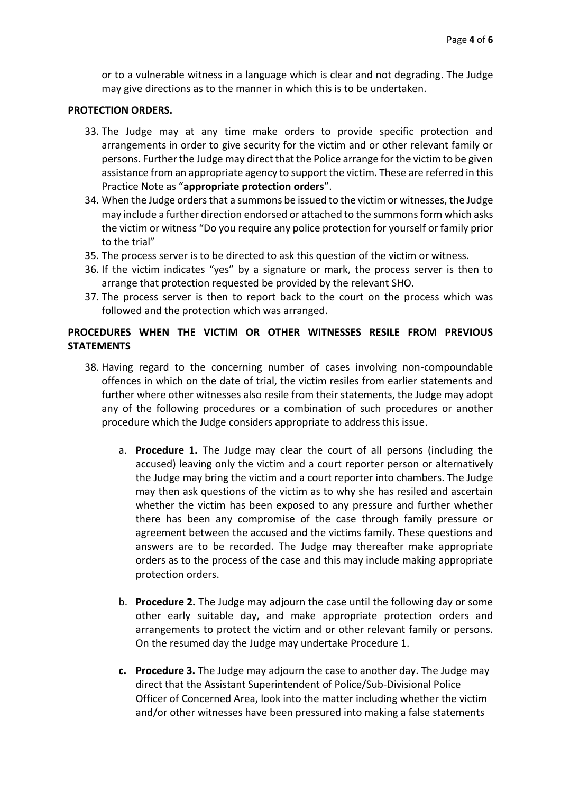or to a vulnerable witness in a language which is clear and not degrading. The Judge may give directions as to the manner in which this is to be undertaken.

#### **PROTECTION ORDERS.**

- 33. The Judge may at any time make orders to provide specific protection and arrangements in order to give security for the victim and or other relevant family or persons. Further the Judge may direct that the Police arrange for the victim to be given assistance from an appropriate agency to support the victim. These are referred in this Practice Note as "**appropriate protection orders**".
- 34. When the Judge orders that a summons be issued to the victim or witnesses, the Judge may include a further direction endorsed or attached to the summons form which asks the victim or witness "Do you require any police protection for yourself or family prior to the trial"
- 35. The process server is to be directed to ask this question of the victim or witness.
- 36. If the victim indicates "yes" by a signature or mark, the process server is then to arrange that protection requested be provided by the relevant SHO.
- 37. The process server is then to report back to the court on the process which was followed and the protection which was arranged.

# **PROCEDURES WHEN THE VICTIM OR OTHER WITNESSES RESILE FROM PREVIOUS STATEMENTS**

- 38. Having regard to the concerning number of cases involving non-compoundable offences in which on the date of trial, the victim resiles from earlier statements and further where other witnesses also resile from their statements, the Judge may adopt any of the following procedures or a combination of such procedures or another procedure which the Judge considers appropriate to address this issue.
	- a. **Procedure 1.** The Judge may clear the court of all persons (including the accused) leaving only the victim and a court reporter person or alternatively the Judge may bring the victim and a court reporter into chambers. The Judge may then ask questions of the victim as to why she has resiled and ascertain whether the victim has been exposed to any pressure and further whether there has been any compromise of the case through family pressure or agreement between the accused and the victims family. These questions and answers are to be recorded. The Judge may thereafter make appropriate orders as to the process of the case and this may include making appropriate protection orders.
	- b. **Procedure 2.** The Judge may adjourn the case until the following day or some other early suitable day, and make appropriate protection orders and arrangements to protect the victim and or other relevant family or persons. On the resumed day the Judge may undertake Procedure 1.
	- **c. Procedure 3.** The Judge may adjourn the case to another day. The Judge may direct that the Assistant Superintendent of Police/Sub-Divisional Police Officer of Concerned Area, look into the matter including whether the victim and/or other witnesses have been pressured into making a false statements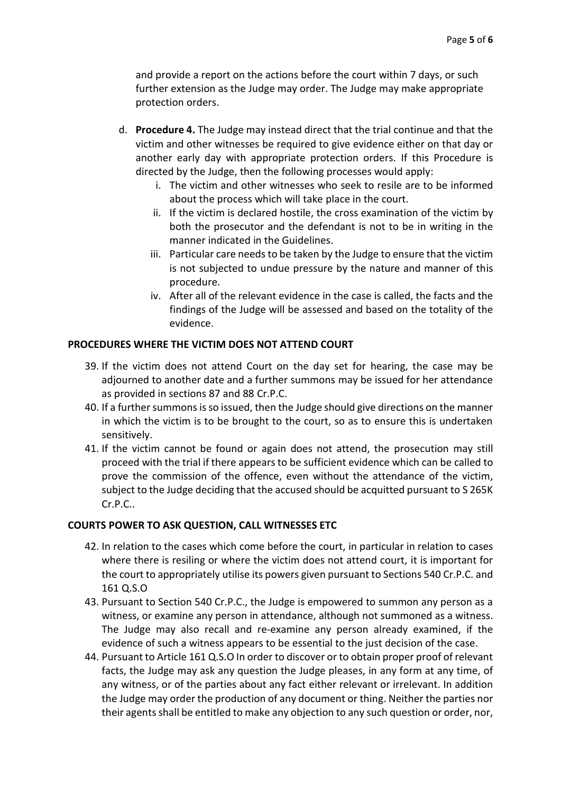and provide a report on the actions before the court within 7 days, or such further extension as the Judge may order. The Judge may make appropriate protection orders.

- d. **Procedure 4.** The Judge may instead direct that the trial continue and that the victim and other witnesses be required to give evidence either on that day or another early day with appropriate protection orders. If this Procedure is directed by the Judge, then the following processes would apply:
	- i. The victim and other witnesses who seek to resile are to be informed about the process which will take place in the court.
	- ii. If the victim is declared hostile, the cross examination of the victim by both the prosecutor and the defendant is not to be in writing in the manner indicated in the Guidelines.
	- iii. Particular care needs to be taken by the Judge to ensure that the victim is not subjected to undue pressure by the nature and manner of this procedure.
	- iv. After all of the relevant evidence in the case is called, the facts and the findings of the Judge will be assessed and based on the totality of the evidence.

# **PROCEDURES WHERE THE VICTIM DOES NOT ATTEND COURT**

- 39. If the victim does not attend Court on the day set for hearing, the case may be adjourned to another date and a further summons may be issued for her attendance as provided in sections 87 and 88 Cr.P.C.
- 40. If a further summons is so issued, then the Judge should give directions on the manner in which the victim is to be brought to the court, so as to ensure this is undertaken sensitively.
- 41. If the victim cannot be found or again does not attend, the prosecution may still proceed with the trial if there appears to be sufficient evidence which can be called to prove the commission of the offence, even without the attendance of the victim, subject to the Judge deciding that the accused should be acquitted pursuant to S 265K Cr.P.C..

#### **COURTS POWER TO ASK QUESTION, CALL WITNESSES ETC**

- 42. In relation to the cases which come before the court, in particular in relation to cases where there is resiling or where the victim does not attend court, it is important for the court to appropriately utilise its powers given pursuant to Sections 540 Cr.P.C. and 161 Q.S.O
- 43. Pursuant to Section 540 Cr.P.C., the Judge is empowered to summon any person as a witness, or examine any person in attendance, although not summoned as a witness. The Judge may also recall and re-examine any person already examined, if the evidence of such a witness appears to be essential to the just decision of the case.
- 44. Pursuant to Article 161 Q.S.O In order to discover or to obtain proper proof of relevant facts, the Judge may ask any question the Judge pleases, in any form at any time, of any witness, or of the parties about any fact either relevant or irrelevant. In addition the Judge may order the production of any document or thing. Neither the parties nor their agents shall be entitled to make any objection to any such question or order, nor,